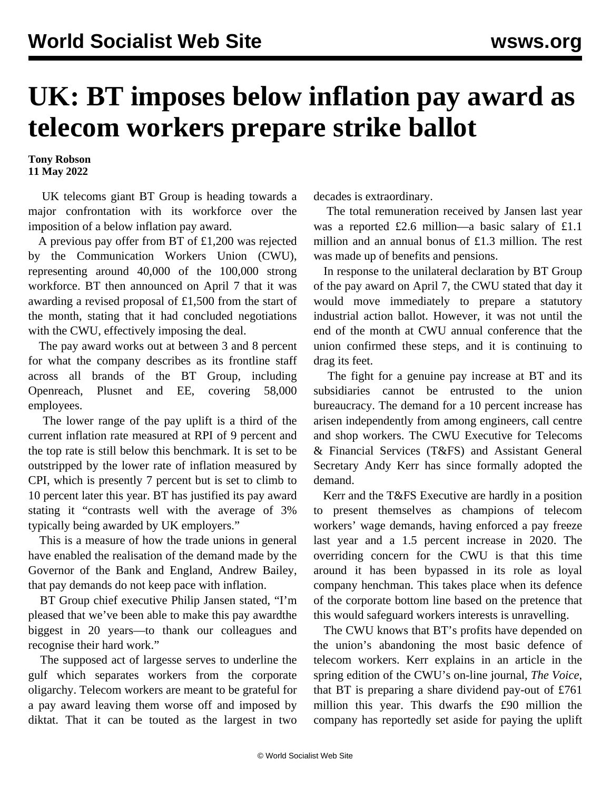## **UK: BT imposes below inflation pay award as telecom workers prepare strike ballot**

**Tony Robson 11 May 2022**

 UK telecoms giant BT Group is heading towards a major confrontation with its workforce over the imposition of a below inflation pay award.

 A previous pay offer from BT of £1,200 was rejected by the Communication Workers Union (CWU), representing around 40,000 of the 100,000 strong workforce. BT then announced on April 7 that it was awarding a revised proposal of £1,500 from the start of the month, stating that it had concluded negotiations with the CWU, effectively imposing the deal.

 The pay award works out at between 3 and 8 percent for what the company describes as its frontline staff across all brands of the BT Group, including Openreach, Plusnet and EE, covering 58,000 employees.

 The lower range of the pay uplift is a third of the current inflation rate measured at RPI of 9 percent and the top rate is still below this benchmark. It is set to be outstripped by the lower rate of inflation measured by CPI, which is presently 7 percent but is set to climb to 10 percent later this year. BT has justified its pay award stating it "contrasts well with the average of 3% typically being awarded by UK employers."

 This is a measure of how the trade unions in general have enabled the realisation of the [demand](/en/articles/2022/02/05/bank-f05.html) made by the Governor of the Bank and England, Andrew Bailey, that pay demands do not keep pace with inflation.

 BT Group chief executive Philip Jansen stated, "I'm pleased that we've been able to make this pay awardthe biggest in 20 years—to thank our colleagues and recognise their hard work."

 The supposed act of largesse serves to underline the gulf which separates workers from the corporate oligarchy. Telecom workers are meant to be grateful for a pay award leaving them worse off and imposed by diktat. That it can be touted as the largest in two decades is extraordinary.

 The total remuneration received by Jansen last year was a reported £2.6 million—a basic salary of £1.1 million and an annual bonus of £1.3 million. The rest was made up of benefits and pensions.

 In response to the unilateral declaration by BT Group of the pay award on April 7, the CWU stated that day it would move immediately to prepare a statutory industrial action ballot. However, it was not until the end of the month at CWU annual conference that the union confirmed these steps, and it is continuing to drag its feet.

 The fight for a genuine pay increase at BT and its subsidiaries cannot be entrusted to the union bureaucracy. The demand for a 10 percent increase has arisen independently from among engineers, call centre and shop workers. The CWU Executive for Telecoms & Financial Services (T&FS) and Assistant General Secretary Andy Kerr has since formally adopted the demand.

 Kerr and the T&FS Executive are hardly in a position to present themselves as champions of telecom workers' wage demands, having enforced a pay freeze last year and a 1.5 percent increase in 2020. The overriding concern for the CWU is that this time around it has been bypassed in its role as loyal company henchman. This takes place when its defence of the corporate bottom line based on the pretence that this would safeguard workers interests is unravelling.

 The CWU knows that BT's profits have depended on the union's abandoning the most basic defence of telecom workers. Kerr explains in an article in the spring edition of the CWU's on-line journal, *The Voice*, that BT is preparing a share dividend pay-out of £761 million this year. This dwarfs the £90 million the company has reportedly set aside for paying the uplift